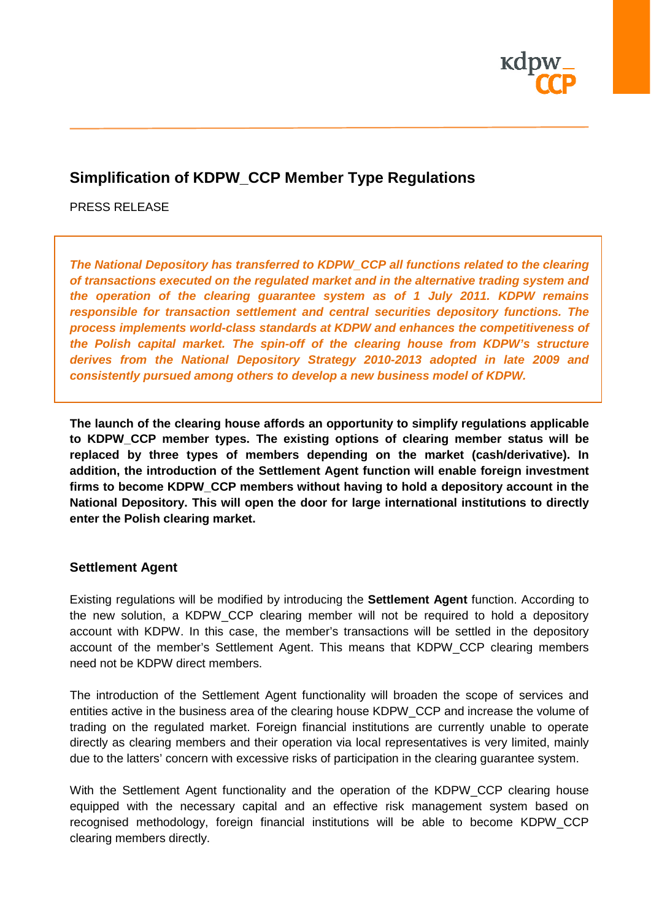

# **Simplification of KDPW\_CCP Member Type Regulations**

PRESS RELEASE

*The National Depository has transferred to KDPW\_CCP all functions related to the clearing of transactions executed on the regulated market and in the alternative trading system and the operation of the clearing guarantee system as of 1 July 2011. KDPW remains responsible for transaction settlement and central securities depository functions. The process implements world-class standards at KDPW and enhances the competitiveness of the Polish capital market. The spin-off of the clearing house from KDPW's structure derives from the National Depository Strategy 2010-2013 adopted in late 2009 and consistently pursued among others to develop a new business model of KDPW.* 

**The launch of the clearing house affords an opportunity to simplify regulations applicable to KDPW\_CCP member types. The existing options of clearing member status will be replaced by three types of members depending on the market (cash/derivative). In addition, the introduction of the Settlement Agent function will enable foreign investment firms to become KDPW\_CCP members without having to hold a depository account in the National Depository. This will open the door for large international institutions to directly enter the Polish clearing market.** 

### **Settlement Agent**

Existing regulations will be modified by introducing the **Settlement Agent** function. According to the new solution, a KDPW CCP clearing member will not be required to hold a depository account with KDPW. In this case, the member's transactions will be settled in the depository account of the member's Settlement Agent. This means that KDPW\_CCP clearing members need not be KDPW direct members.

The introduction of the Settlement Agent functionality will broaden the scope of services and entities active in the business area of the clearing house KDPW\_CCP and increase the volume of trading on the regulated market. Foreign financial institutions are currently unable to operate directly as clearing members and their operation via local representatives is very limited, mainly due to the latters' concern with excessive risks of participation in the clearing guarantee system.

With the Settlement Agent functionality and the operation of the KDPW\_CCP clearing house equipped with the necessary capital and an effective risk management system based on recognised methodology, foreign financial institutions will be able to become KDPW\_CCP clearing members directly.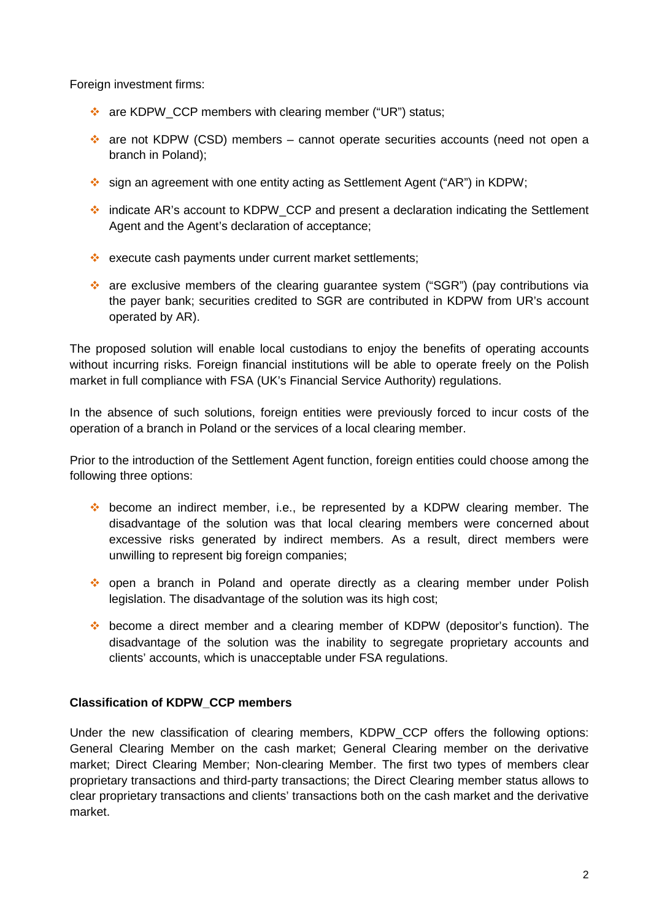Foreign investment firms:

- \* are KDPW\_CCP members with clearing member ("UR") status;
- are not KDPW (CSD) members cannot operate securities accounts (need not open a branch in Poland);
- sign an agreement with one entity acting as Settlement Agent ("AR") in KDPW;
- indicate AR's account to KDPW\_CCP and present a declaration indicating the Settlement Agent and the Agent's declaration of acceptance;
- ❖ execute cash payments under current market settlements;
- are exclusive members of the clearing guarantee system ("SGR") (pay contributions via the payer bank; securities credited to SGR are contributed in KDPW from UR's account operated by AR).

The proposed solution will enable local custodians to enjoy the benefits of operating accounts without incurring risks. Foreign financial institutions will be able to operate freely on the Polish market in full compliance with FSA (UK's Financial Service Authority) regulations.

In the absence of such solutions, foreign entities were previously forced to incur costs of the operation of a branch in Poland or the services of a local clearing member.

Prior to the introduction of the Settlement Agent function, foreign entities could choose among the following three options:

- become an indirect member, i.e., be represented by a KDPW clearing member. The disadvantage of the solution was that local clearing members were concerned about excessive risks generated by indirect members. As a result, direct members were unwilling to represent big foreign companies;
- open a branch in Poland and operate directly as a clearing member under Polish legislation. The disadvantage of the solution was its high cost;
- become a direct member and a clearing member of KDPW (depositor's function). The disadvantage of the solution was the inability to segregate proprietary accounts and clients' accounts, which is unacceptable under FSA regulations.

## **Classification of KDPW\_CCP members**

Under the new classification of clearing members, KDPW\_CCP offers the following options: General Clearing Member on the cash market; General Clearing member on the derivative market; Direct Clearing Member; Non-clearing Member. The first two types of members clear proprietary transactions and third-party transactions; the Direct Clearing member status allows to clear proprietary transactions and clients' transactions both on the cash market and the derivative market.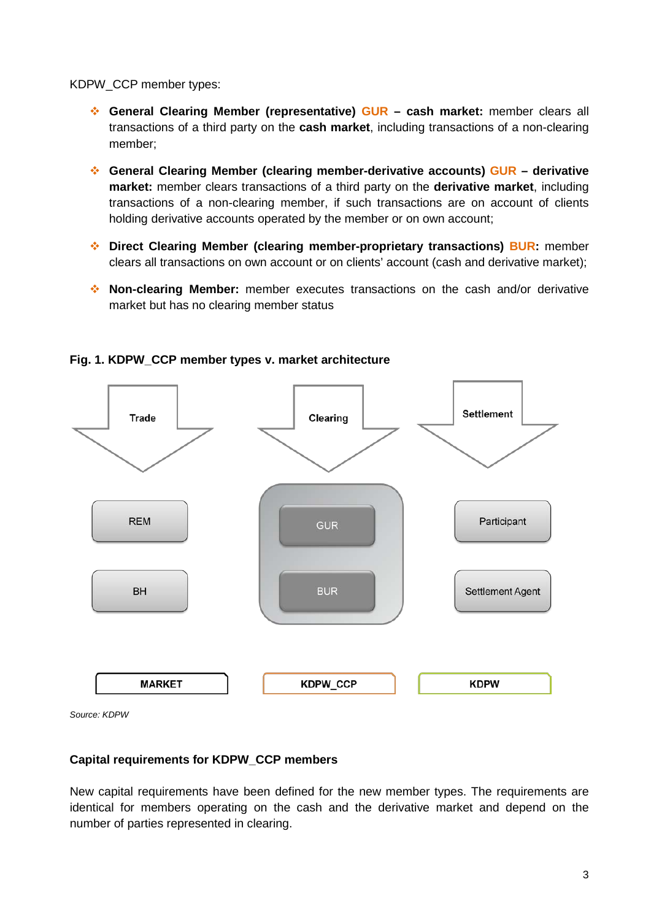KDPW\_CCP member types:

- **General Clearing Member (representative) GUR – cash market:** member clears all transactions of a third party on the **cash market**, including transactions of a non-clearing member;
- **General Clearing Member (clearing member-derivative accounts) GUR – derivative market:** member clears transactions of a third party on the **derivative market**, including transactions of a non-clearing member, if such transactions are on account of clients holding derivative accounts operated by the member or on own account;
- **Direct Clearing Member (clearing member-proprietary transactions) BUR:** member clears all transactions on own account or on clients' account (cash and derivative market);
- **Non-clearing Member:** member executes transactions on the cash and/or derivative market but has no clearing member status



## **Fig. 1. KDPW\_CCP member types v. market architecture**

*Source: KDPW*

### **Capital requirements for KDPW\_CCP members**

New capital requirements have been defined for the new member types. The requirements are identical for members operating on the cash and the derivative market and depend on the number of parties represented in clearing.